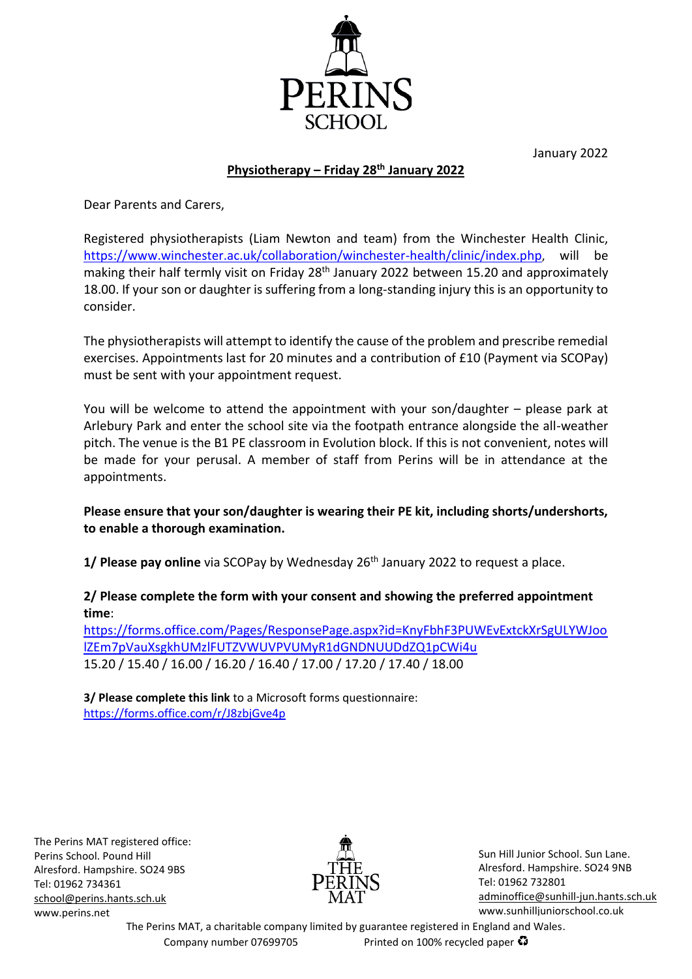January 2022



## **Physiotherapy – Friday 28th January 2022**

Dear Parents and Carers,

Registered physiotherapists (Liam Newton and team) from the Winchester Health Clinic, <https://www.winchester.ac.uk/collaboration/winchester-health/clinic/index.php>, will be making their half termly visit on Friday 28<sup>th</sup> January 2022 between 15.20 and approximately 18.00. If your son or daughter is suffering from a long-standing injury this is an opportunity to consider.

The physiotherapists will attempt to identify the cause of the problem and prescribe remedial exercises. Appointments last for 20 minutes and a contribution of £10 (Payment via SCOPay) must be sent with your appointment request.

You will be welcome to attend the appointment with your son/daughter – please park at Arlebury Park and enter the school site via the footpath entrance alongside the all-weather pitch. The venue is the B1 PE classroom in Evolution block. If this is not convenient, notes will be made for your perusal. A member of staff from Perins will be in attendance at the appointments.

## **Please ensure that your son/daughter is wearing their PE kit, including shorts/undershorts, to enable a thorough examination.**

**1/ Please pay online** via SCOPay by Wednesday 26<sup>th</sup> January 2022 to request a place.

## **2/ Please complete the form with your consent and showing the preferred appointment time**:

[https://forms.office.com/Pages/ResponsePage.aspx?id=KnyFbhF3PUWEvExtckXrSgULYWJoo](https://forms.office.com/Pages/ResponsePage.aspx?id=KnyFbhF3PUWEvExtckXrSgULYWJoolZEm7pVauXsgkhUMzlFUTZVWUVPVUMyR1dGNDNUUDdZQ1pCWi4u) [lZEm7pVauXsgkhUMzlFUTZVWUVPVUMyR1dGNDNUUDdZQ1pCWi4u](https://forms.office.com/Pages/ResponsePage.aspx?id=KnyFbhF3PUWEvExtckXrSgULYWJoolZEm7pVauXsgkhUMzlFUTZVWUVPVUMyR1dGNDNUUDdZQ1pCWi4u) 15.20 / 15.40 / 16.00 / 16.20 / 16.40 / 17.00 / 17.20 / 17.40 / 18.00

**3/ Please complete this link** to a Microsoft forms questionnaire: <https://forms.office.com/r/J8zbjGve4p>

The Perins MAT registered office: Perins School. Pound Hill Alresford. Hampshire. SO24 9BS Tel: 01962 734361 [school@perins.hants.sch.uk](mailto:school@perins.hants.sch.uk) [www.perins.net](http://www.perins.net/)



Sun Hill Junior School. Sun Lane. Alresford. Hampshire. SO24 9NB [Tel: 01962](tel:01962) 732801 [adminoffice@sunhill-jun.hants.sch.uk](mailto:adminoffice@sunhill-jun.hants.sch.uk) www.sunhilljuniorschool.co.uk

The Perins MAT, a charitable company limited by guarantee registered in England and Wales. Company number 07699705 Printed on 100% recycled paper